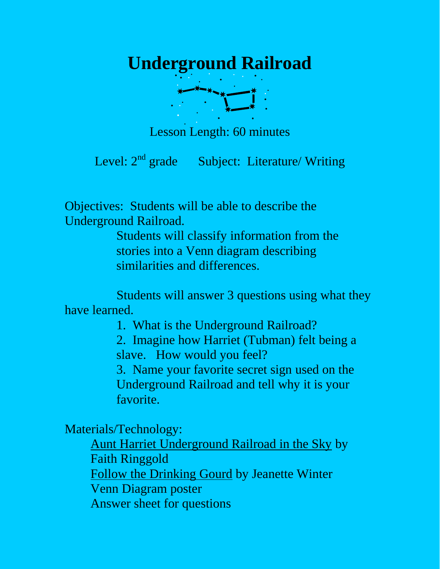

Lesson Length: 60 minutes

Level: 2<sup>nd</sup> grade Subject: Literature/ Writing

Objectives: Students will be able to describe the Underground Railroad.

> Students will classify information from the stories into a Venn diagram describing similarities and differences.

 Students will answer 3 questions using what they have learned.

1. What is the Underground Railroad?

2. Imagine how Harriet (Tubman) felt being a slave. How would you feel?

3. Name your favorite secret sign used on the Underground Railroad and tell why it is your favorite.

Materials/Technology:

Aunt Harriet Underground Railroad in the Sky by Faith Ringgold Follow the Drinking Gourd by Jeanette Winter Venn Diagram poster Answer sheet for questions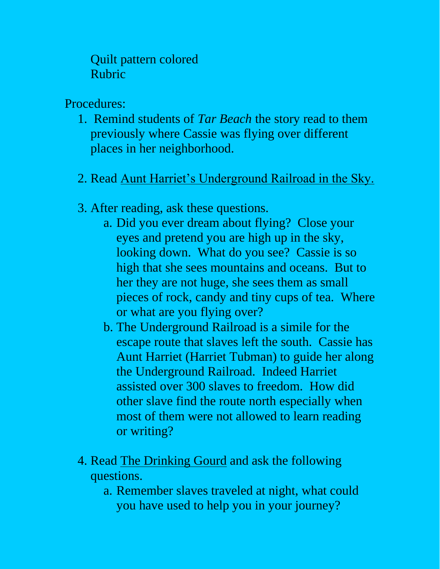Quilt pattern colored Rubric

Procedures:

- 1. Remind students of *Tar Beach* the story read to them previously where Cassie was flying over different places in her neighborhood.
- 2. Read Aunt Harriet's Underground Railroad in the Sky.
- 3. After reading, ask these questions.
	- a. Did you ever dream about flying? Close your eyes and pretend you are high up in the sky, looking down. What do you see? Cassie is so high that she sees mountains and oceans. But to her they are not huge, she sees them as small pieces of rock, candy and tiny cups of tea. Where or what are you flying over?
	- b. The Underground Railroad is a simile for the escape route that slaves left the south. Cassie has Aunt Harriet (Harriet Tubman) to guide her along the Underground Railroad. Indeed Harriet assisted over 300 slaves to freedom. How did other slave find the route north especially when most of them were not allowed to learn reading or writing?
- 4. Read The Drinking Gourd and ask the following questions.
	- a. Remember slaves traveled at night, what could you have used to help you in your journey?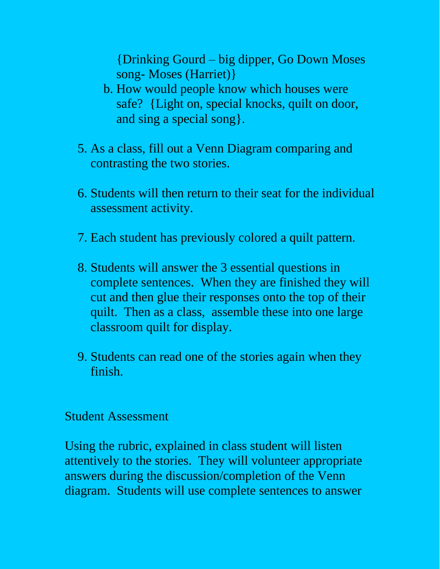{Drinking Gourd – big dipper, Go Down Moses song- Moses (Harriet)}

- b. How would people know which houses were safe? {Light on, special knocks, quilt on door, and sing a special song}.
- 5. As a class, fill out a Venn Diagram comparing and contrasting the two stories.
- 6. Students will then return to their seat for the individual assessment activity.
- 7. Each student has previously colored a quilt pattern.
- 8. Students will answer the 3 essential questions in complete sentences. When they are finished they will cut and then glue their responses onto the top of their quilt. Then as a class, assemble these into one large classroom quilt for display.
- 9. Students can read one of the stories again when they finish.

## Student Assessment

Using the rubric, explained in class student will listen attentively to the stories. They will volunteer appropriate answers during the discussion/completion of the Venn diagram. Students will use complete sentences to answer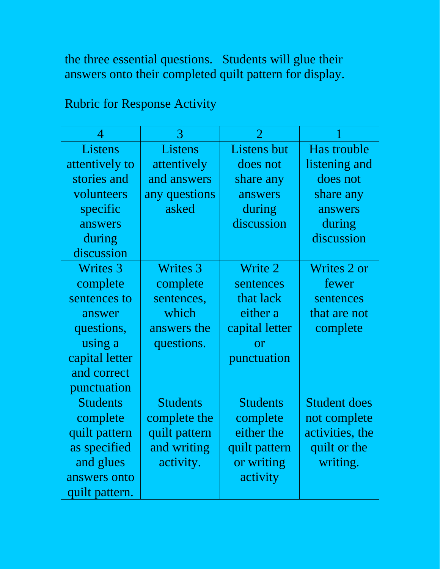the three essential questions. Students will glue their answers onto their completed quilt pattern for display.

## Rubric for Response Activity

| $\boldsymbol{\varDelta}$ | 3               |                    |                     |
|--------------------------|-----------------|--------------------|---------------------|
| Listens                  | Listens         | <b>Listens</b> but | Has trouble         |
| attentively to           | attentively     | does not           | listening and       |
| stories and              | and answers     | share any          | does not            |
| volunteers               | any questions   | answers            | share any           |
| specific                 | asked           | during             | answers             |
| answers                  |                 | discussion         | during              |
| during                   |                 |                    | discussion          |
| discussion               |                 |                    |                     |
| <b>Writes 3</b>          | <b>Writes 3</b> | Write 2            | Writes 2 or         |
| complete                 | complete        | sentences          | fewer               |
| sentences to             | sentences,      | that lack          | sentences           |
| answer                   | which           | either a           | that are not        |
| questions,               | answers the     | capital letter     | complete            |
| using a                  | questions.      | or                 |                     |
| capital letter           |                 | punctuation        |                     |
| and correct              |                 |                    |                     |
| punctuation              |                 |                    |                     |
| <b>Students</b>          | <b>Students</b> | <b>Students</b>    | <b>Student does</b> |
| complete                 | complete the    | complete           | not complete        |
| quilt pattern            | quilt pattern   | either the         | activities, the     |
| as specified             | and writing     | quilt pattern      | quilt or the        |
| and glues                | activity.       | or writing         | writing.            |
| answers onto             |                 | activity           |                     |
| quilt pattern.           |                 |                    |                     |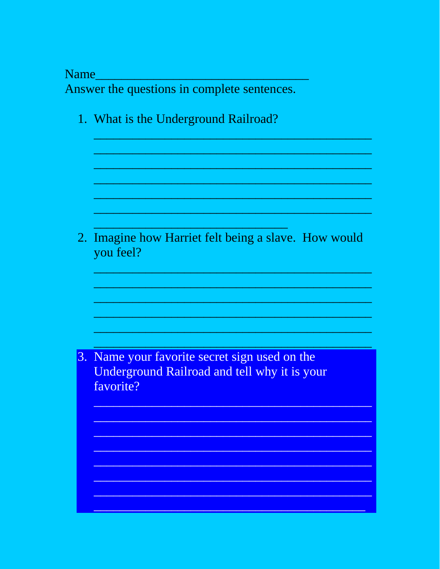**Name** 

Answer the questions in complete sentences.

1. What is the Underground Railroad?

2. Imagine how Harriet felt being a slave. How would you feel?

3. Name your favorite secret sign used on the Underground Railroad and tell why it is your favorite?